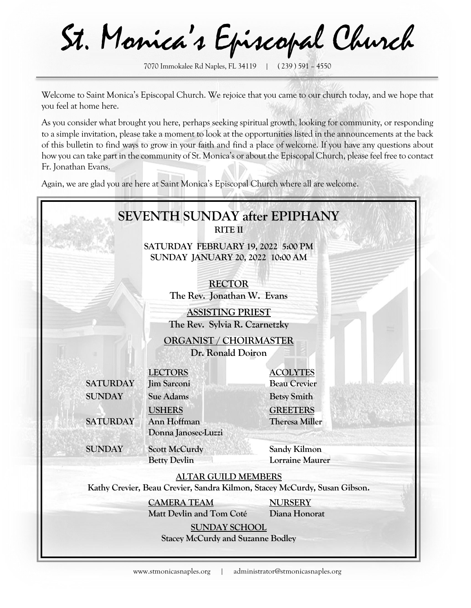St. Monica's Episcopal Church

7070 Immokalee Rd Naples, FL 34119 | ( 239 ) 591 – 4550

Welcome to Saint Monica's Episcopal Church. We rejoice that you came to our church today, and we hope that you feel at home here.

As you consider what brought you here, perhaps seeking spiritual growth, looking for community, or responding to a simple invitation, please take a moment to look at the opportunities listed in the announcements at the back of this bulletin to find ways to grow in your faith and find a place of welcome. If you have any questions about how you can take part in the community of St. Monica's or about the Episcopal Church, please feel free to contact Fr. Jonathan Evans.

Again, we are glad you are here at Saint Monica's Episcopal Church where all are welcome.

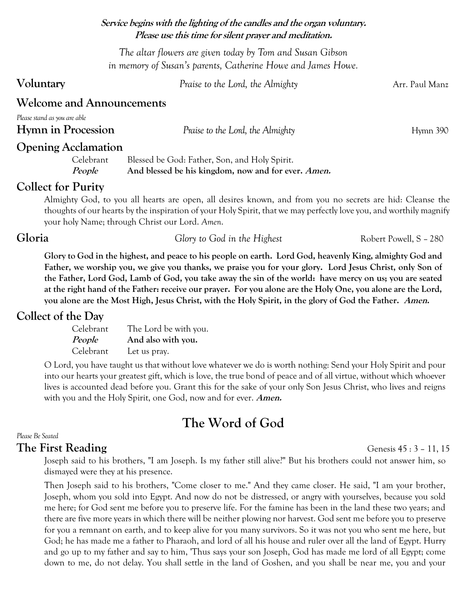### **Service begins with the lighting of the candles and the organ voluntary. Please use this time for silent prayer and meditation.**

*The altar flowers are given today by Tom and Susan Gibson in memory of Susan's parents, Catherine Howe and James Howe.*

| Voluntary                        | Praise to the Lord, the Almighty                                                                                                                                                                                                 | Arr. Paul Manz |
|----------------------------------|----------------------------------------------------------------------------------------------------------------------------------------------------------------------------------------------------------------------------------|----------------|
| <b>Welcome and Announcements</b> |                                                                                                                                                                                                                                  |                |
| Please stand as you are able     |                                                                                                                                                                                                                                  |                |
| Hymn in Procession               | Praise to the Lord, the Almighty                                                                                                                                                                                                 | Hymn 390       |
| <b>Opening Acclamation</b>       |                                                                                                                                                                                                                                  |                |
| Celebrant                        | Blessed be God: Father, Son, and Holy Spirit.                                                                                                                                                                                    |                |
| People                           | And blessed be his kingdom, now and for ever. Amen.                                                                                                                                                                              |                |
| <b>Collect for Purity</b>        |                                                                                                                                                                                                                                  |                |
|                                  | Almighty God, to you all hearts are open, all desires known, and from you no secrets are hid: Cleanse the<br>thoughts of our hearts by the inspiration of your Holy Spirit, that we may perfectly love you, and worthily magnify |                |

your holy Name; through Christ our Lord. *Amen*.

**Gloria Glory to God in the Highest Robert Powell, S** – 280

**Glory to God in the highest, and peace to his people on earth. Lord God, heavenly King, almighty God and Father, we worship you, we give you thanks, we praise you for your glory. Lord Jesus Christ, only Son of the Father, Lord God, Lamb of God, you take away the sin of the world: have mercy on us; you are seated at the right hand of the Father: receive our prayer. For you alone are the Holy One, you alone are the Lord, you alone are the Most High, Jesus Christ, with the Holy Spirit, in the glory of God the Father. Amen.**

## **Collect of the Day**

| Celebrant     | The Lord be with you. |
|---------------|-----------------------|
| <i>People</i> | And also with you.    |
| Celebrant     | Let us pray.          |

O Lord, you have taught us that without love whatever we do is worth nothing: Send your Holy Spirit and pour into our hearts your greatest gift, which is love, the true bond of peace and of all virtue, without which whoever lives is accounted dead before you. Grant this for the sake of your only Son Jesus Christ, who lives and reigns with you and the Holy Spirit, one God, now and for ever. **Amen.**

# **The Word of God**

#### *Please Be Seated*

## **The First Reading** Genesis 45 : 3 – 11, 15

Joseph said to his brothers, "I am Joseph. Is my father still alive?" But his brothers could not answer him, so dismayed were they at his presence.

Then Joseph said to his brothers, "Come closer to me." And they came closer. He said, "I am your brother, Joseph, whom you sold into Egypt. And now do not be distressed, or angry with yourselves, because you sold me here; for God sent me before you to preserve life. For the famine has been in the land these two years; and there are five more years in which there will be neither plowing nor harvest. God sent me before you to preserve for you a remnant on earth, and to keep alive for you many survivors. So it was not you who sent me here, but God; he has made me a father to Pharaoh, and lord of all his house and ruler over all the land of Egypt. Hurry and go up to my father and say to him, 'Thus says your son Joseph, God has made me lord of all Egypt; come down to me, do not delay. You shall settle in the land of Goshen, and you shall be near me, you and your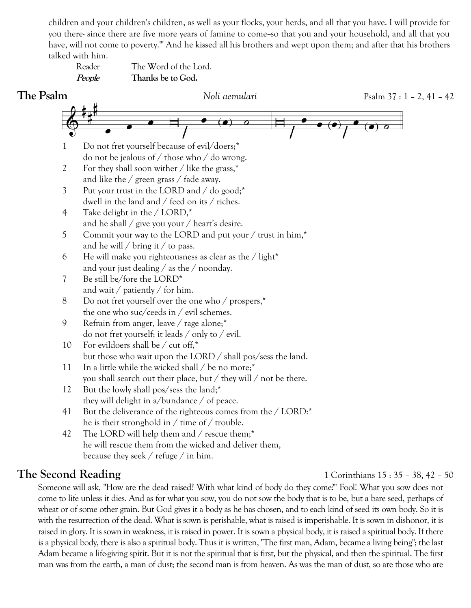children and your children's children, as well as your flocks, your herds, and all that you have. I will provide for you there- since there are five more years of famine to come--so that you and your household, and all that you have, will not come to poverty.'" And he kissed all his brothers and wept upon them; and after that his brothers talked with him.

| Reader | The Word of the Lord. |
|--------|-----------------------|
| People | Thanks be to God.     |



#### **The Second Reading** 1 Corinthians 15 : 35 – 38, 42 – 50

Someone will ask, "How are the dead raised? With what kind of body do they come?" Fool! What you sow does not come to life unless it dies. And as for what you sow, you do not sow the body that is to be, but a bare seed, perhaps of wheat or of some other grain. But God gives it a body as he has chosen, and to each kind of seed its own body. So it is with the resurrection of the dead. What is sown is perishable, what is raised is imperishable. It is sown in dishonor, it is raised in glory. It is sown in weakness, it is raised in power. It is sown a physical body, it is raised a spiritual body. If there is a physical body, there is also a spiritual body. Thus it is written, "The first man, Adam, became a living being"; the last Adam became a life-giving spirit. But it is not the spiritual that is first, but the physical, and then the spiritual. The first man was from the earth, a man of dust; the second man is from heaven. As was the man of dust, so are those who are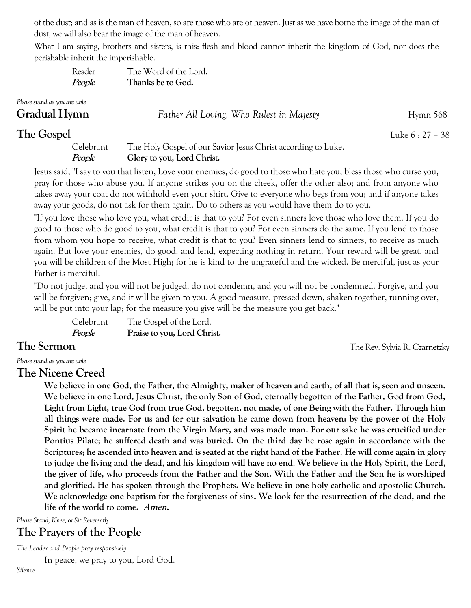of the dust; and as is the man of heaven, so are those who are of heaven. Just as we have borne the image of the man of dust, we will also bear the image of the man of heaven.

What I am saying, brothers and sisters, is this: flesh and blood cannot inherit the kingdom of God, nor does the perishable inherit the imperishable.

| Reader | The Word of the Lord. |
|--------|-----------------------|
| People | Thanks be to God.     |

*Please stand as you are able*

| Gradual Hymn |
|--------------|
|              |

**Father All Loving, Who Rulest in Majesty <b>Hymn** 568

**The Gospel** Luke 6 : 27 – 38

Celebrant The Holy Gospel of our Savior Jesus Christ according to Luke. **People Glory to you, Lord Christ.** 

Jesus said, "I say to you that listen, Love your enemies, do good to those who hate you, bless those who curse you, pray for those who abuse you. If anyone strikes you on the cheek, offer the other also; and from anyone who takes away your coat do not withhold even your shirt. Give to everyone who begs from you; and if anyone takes away your goods, do not ask for them again. Do to others as you would have them do to you.

"If you love those who love you, what credit is that to you? For even sinners love those who love them. If you do good to those who do good to you, what credit is that to you? For even sinners do the same. If you lend to those from whom you hope to receive, what credit is that to you? Even sinners lend to sinners, to receive as much again. But love your enemies, do good, and lend, expecting nothing in return. Your reward will be great, and you will be children of the Most High; for he is kind to the ungrateful and the wicked. Be merciful, just as your Father is merciful.

"Do not judge, and you will not be judged; do not condemn, and you will not be condemned. Forgive, and you will be forgiven; give, and it will be given to you. A good measure, pressed down, shaken together, running over, will be put into your lap; for the measure you give will be the measure you get back."

Celebrant The Gospel of the Lord. **People Praise to you, Lord Christ.** 

**The Sermon** The Rev. Sylvia R. Czarnetzky

*Please stand as you are able*

### **The Nicene Creed**

**We believe in one God, the Father, the Almighty, maker of heaven and earth, of all that is, seen and unseen. We believe in one Lord, Jesus Christ, the only Son of God, eternally begotten of the Father, God from God, Light from Light, true God from true God, begotten, not made, of one Being with the Father. Through him all things were made. For us and for our salvation he came down from heaven: by the power of the Holy Spirit he became incarnate from the Virgin Mary, and was made man. For our sake he was crucified under Pontius Pilate; he suffered death and was buried. On the third day he rose again in accordance with the Scriptures; he ascended into heaven and is seated at the right hand of the Father. He will come again in glory to judge the living and the dead, and his kingdom will have no end. We believe in the Holy Spirit, the Lord, the giver of life, who proceeds from the Father and the Son. With the Father and the Son he is worshiped and glorified. He has spoken through the Prophets. We believe in one holy catholic and apostolic Church. We acknowledge one baptism for the forgiveness of sins. We look for the resurrection of the dead, and the life of the world to come. Amen.**

*Please Stand, Knee,or Sit Reverently*

## **The Prayers of the People**

*The Leader and People pray responsively*

In peace, we pray to you, Lord God.

*Silence*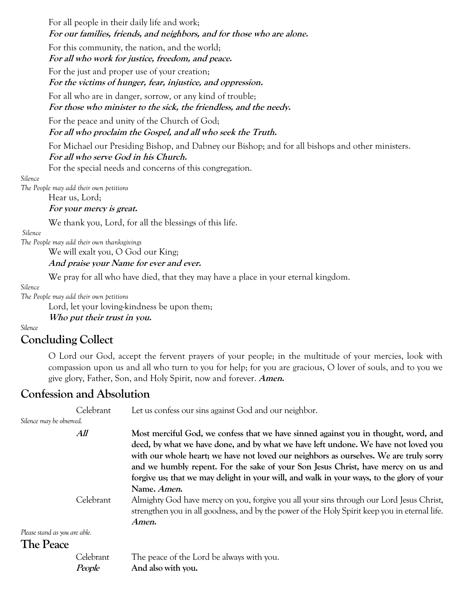For all people in their daily life and work; **For our families, friends, and neighbors, and for those who are alone.**

For this community, the nation, and the world;

**For all who work for justice, freedom, and peace.**

For the just and proper use of your creation;

**For the victims of hunger, fear, injustice, and oppression.**

For all who are in danger, sorrow, or any kind of trouble;

**For those who minister to the sick, the friendless, and the needy.**

For the peace and unity of the Church of God;

**For all who proclaim the Gospel, and all who seek the Truth.**

For Michael our Presiding Bishop, and Dabney our Bishop; and for all bishops and other ministers. **For all who serve God in his Church.**

For the special needs and concerns of this congregation.

#### *Silence*

*The People may add their own petitions*

Hear us, Lord;

#### **For your mercy is great.**

We thank you, Lord, for all the blessings of this life.

*Silence*

*The People may add their own thanksgivings*

We will exalt you, O God our King;

**And praise your Name for ever and ever.**

We pray for all who have died, that they may have a place in your eternal kingdom.

#### *Silence*

*The People may add their own petitions*

Lord, let your loving-kindness be upon them;

**Who put their trust in you.**

#### *Silence*

## **Concluding Collect**

O Lord our God, accept the fervent prayers of your people; in the multitude of your mercies, look with compassion upon us and all who turn to you for help; for you are gracious, O lover of souls, and to you we give glory, Father, Son, and Holy Spirit, now and forever. **Amen.**

## **Confession and Absolution**

|                               | Celebrant | Let us confess our sins against God and our neighbor.                                                                                                                                                                                                                                                                                                                                                                                                                |
|-------------------------------|-----------|----------------------------------------------------------------------------------------------------------------------------------------------------------------------------------------------------------------------------------------------------------------------------------------------------------------------------------------------------------------------------------------------------------------------------------------------------------------------|
| Silence may be observed.      |           |                                                                                                                                                                                                                                                                                                                                                                                                                                                                      |
|                               | All       | Most merciful God, we confess that we have sinned against you in thought, word, and<br>deed, by what we have done, and by what we have left undone. We have not loved you<br>with our whole heart; we have not loved our neighbors as ourselves. We are truly sorry<br>and we humbly repent. For the sake of your Son Jesus Christ, have mercy on us and<br>forgive us; that we may delight in your will, and walk in your ways, to the glory of your<br>Name. Amen. |
|                               | Celebrant | Almighty God have mercy on you, forgive you all your sins through our Lord Jesus Christ,<br>strengthen you in all goodness, and by the power of the Holy Spirit keep you in eternal life.<br>Amen.                                                                                                                                                                                                                                                                   |
| Please stand as you are able. |           |                                                                                                                                                                                                                                                                                                                                                                                                                                                                      |
| The Peace                     |           |                                                                                                                                                                                                                                                                                                                                                                                                                                                                      |
|                               | Celebrant | The peace of the Lord be always with you.                                                                                                                                                                                                                                                                                                                                                                                                                            |
|                               | People    | And also with you.                                                                                                                                                                                                                                                                                                                                                                                                                                                   |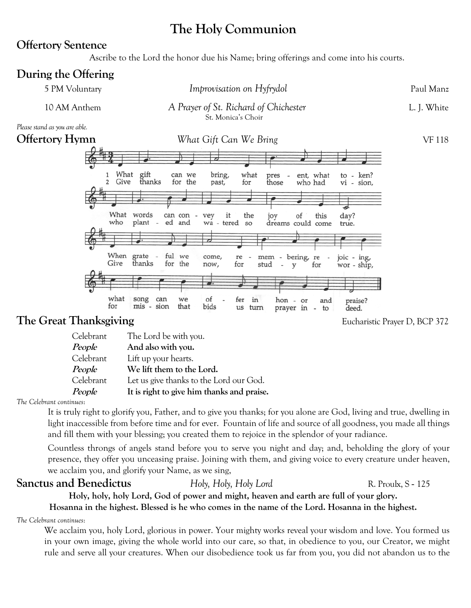# **The Holy Communion**

## **Offertory Sentence**

Ascribe to the Lord the honor due his Name; bring offerings and come into his courts.

## **During the Offering**

| 5 PM Voluntary                | Improvisation on Hyfrydol                                                                                                                                                                                                                                                                                                                                                                                                                                                                                                                                                                                                                                                                          | Paul Manz    |
|-------------------------------|----------------------------------------------------------------------------------------------------------------------------------------------------------------------------------------------------------------------------------------------------------------------------------------------------------------------------------------------------------------------------------------------------------------------------------------------------------------------------------------------------------------------------------------------------------------------------------------------------------------------------------------------------------------------------------------------------|--------------|
| 10 AM Anthem                  | A Prayer of St. Richard of Chichester<br>St. Monica's Choir                                                                                                                                                                                                                                                                                                                                                                                                                                                                                                                                                                                                                                        | L. J. White  |
| Please stand as you are able. |                                                                                                                                                                                                                                                                                                                                                                                                                                                                                                                                                                                                                                                                                                    |              |
| Offertory Hymn                | What Gift Can We Bring                                                                                                                                                                                                                                                                                                                                                                                                                                                                                                                                                                                                                                                                             | <b>VF118</b> |
|                               | $\overline{\phantom{a}}$<br>What<br>gift<br>what<br>bring,<br>can we<br>ent, what<br>to - ken?<br>pres -<br>Give<br>thanks<br>for the<br>2<br>for<br>past,<br>those<br>who had<br>vi - sion,<br>What words<br>can con - vey<br>it<br>the<br>this<br>day?<br>joy<br>of<br>who plant - ed and<br>wa - tered so<br>dreams could come<br>true.<br>When grate - ful we<br>mem - bering, re -<br>come,<br>re -<br>joic - ing,<br>Give<br>thanks<br>for the<br>for<br>stud<br>now,<br>for<br>$-$ y<br>wor - ship,<br>what<br>of<br>song can<br>we<br>fer<br>in<br>hon - or<br>and<br>praise?<br>$\overline{\phantom{a}}$<br>that<br>for<br>mis - sion<br>bids<br>us<br>turn<br>prayer in -<br>to<br>deed. |              |

## **The Great Thanksgiving**<br> **Eucharistic Prayer D, BCP 372**

| Celebrant     | The Lord be with you.                      |
|---------------|--------------------------------------------|
| People        | And also with you.                         |
| Celebrant     | Lift up your hearts.                       |
| <i>People</i> | We lift them to the Lord.                  |
| Celebrant     | Let us give thanks to the Lord our God.    |
| <i>People</i> | It is right to give him thanks and praise. |

#### *The Celebrant continues*:

It is truly right to glorify you, Father, and to give you thanks; for you alone are God, living and true, dwelling in light inaccessible from before time and for ever. Fountain of life and source of all goodness, you made all things and fill them with your blessing; you created them to rejoice in the splendor of your radiance.

Countless throngs of angels stand before you to serve you night and day; and, beholding the glory of your presence, they offer you unceasing praise. Joining with them, and giving voice to every creature under heaven, we acclaim you, and glorify your Name, as we sing,

#### **Sanctus and Benedictus** *Holy, Holy, Holy Lord* R. Proulx, S - 125

**Holy, holy, holy Lord, God of power and might, heaven and earth are full of your glory.**

**Hosanna in the highest. Blessed is he who comes in the name of the Lord. Hosanna in the highest.**

*The Celebrant continues*:

We acclaim you, holy Lord, glorious in power. Your mighty works reveal your wisdom and love. You formed us in your own image, giving the whole world into our care, so that, in obedience to you, our Creator, we might rule and serve all your creatures. When our disobedience took us far from you, you did not abandon us to the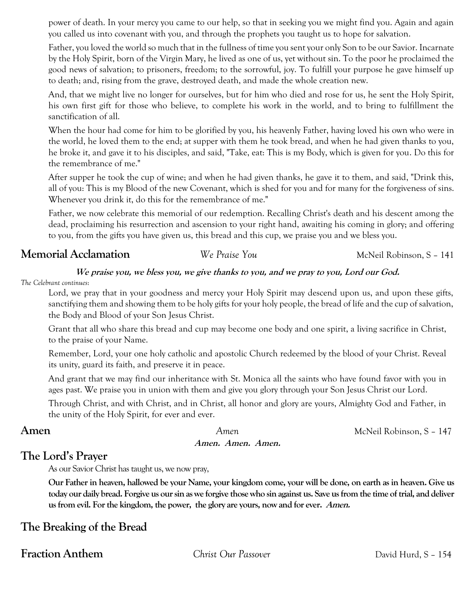power of death. In your mercy you came to our help, so that in seeking you we might find you. Again and again you called us into covenant with you, and through the prophets you taught us to hope for salvation.

Father, you loved the world so much that in the fullness of time you sent your only Son to be our Savior. Incarnate by the Holy Spirit, born of the Virgin Mary, he lived as one of us, yet without sin. To the poor he proclaimed the good news of salvation; to prisoners, freedom; to the sorrowful, joy. To fulfill your purpose he gave himself up to death; and, rising from the grave, destroyed death, and made the whole creation new.

And, that we might live no longer for ourselves, but for him who died and rose for us, he sent the Holy Spirit, his own first gift for those who believe, to complete his work in the world, and to bring to fulfillment the sanctification of all.

When the hour had come for him to be glorified by you, his heavenly Father, having loved his own who were in the world, he loved them to the end; at supper with them he took bread, and when he had given thanks to you, he broke it, and gave it to his disciples, and said, "Take, eat: This is my Body, which is given for you. Do this for the remembrance of me."

After supper he took the cup of wine; and when he had given thanks, he gave it to them, and said, "Drink this, all of you: This is my Blood of the new Covenant, which is shed for you and for many for the forgiveness of sins. Whenever you drink it, do this for the remembrance of me."

Father, we now celebrate this memorial of our redemption. Recalling Christ's death and his descent among the dead, proclaiming his resurrection and ascension to your right hand, awaiting his coming in glory; and offering to you, from the gifts you have given us, this bread and this cup, we praise you and we bless you.

## **Memorial Acclamation** *We Praise You McNeil Robinson, S - 141*

#### **We praise you, we bless you, we give thanks to you, and we pray to you, Lord our God.**

*The Celebrant continues*:

Lord, we pray that in your goodness and mercy your Holy Spirit may descend upon us, and upon these gifts, sanctifying them and showing them to be holy gifts for your holy people, the bread of life and the cup of salvation, the Body and Blood of your Son Jesus Christ.

Grant that all who share this bread and cup may become one body and one spirit, a living sacrifice in Christ, to the praise of your Name.

Remember, Lord, your one holy catholic and apostolic Church redeemed by the blood of your Christ. Reveal its unity, guard its faith, and preserve it in peace.

And grant that we may find our inheritance with St. Monica all the saints who have found favor with you in ages past. We praise you in union with them and give you glory through your Son Jesus Christ our Lord.

Through Christ, and with Christ, and in Christ, all honor and glory are yours, Almighty God and Father, in the unity of the Holy Spirit, for ever and ever.

### **Amen. Amen. Amen.**

**Amen** *Amen Amen McNeil Robinson, S – 147* 

### **The Lord's Prayer**

As our Savior Christ has taught us, we now pray,

**Our Father in heaven, hallowed be your Name, your kingdom come, your will be done, on earth as in heaven. Give us today our daily bread. Forgive us our sin as we forgive those who sin against us. Save us from the time of trial, and deliver us from evil. For the kingdom, the power, the glory are yours, now and for ever. Amen.**

## **The Breaking of the Bread**

**Fraction Anthem** *Christ Our Passover David Hurd, S - 154**David Hurd, S - 154*